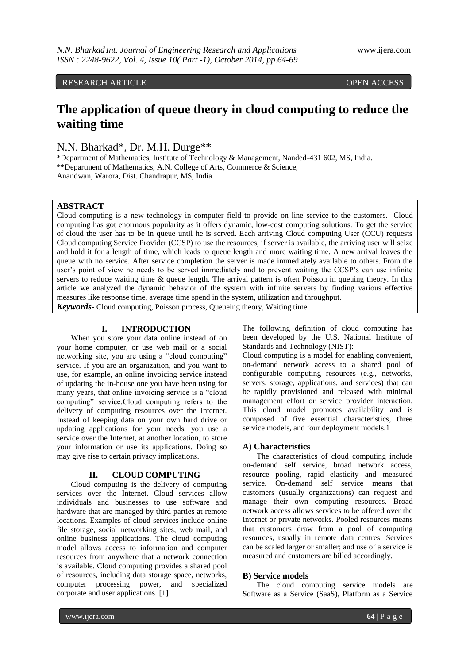RESEARCH ARTICLE OPEN ACCESS

# **The application of queue theory in cloud computing to reduce the waiting time**

N.N. Bharkad\*, Dr. M.H. Durge\*\*

\*Department of Mathematics, Institute of Technology & Management, Nanded-431 602, MS, India. \*\*Department of Mathematics, A.N. College of Arts, Commerce & Science, Anandwan, Warora, Dist. Chandrapur, MS, India.

## **ABSTRACT**

Cloud computing is a new technology in computer field to provide on line service to the customers. -Cloud computing has got enormous popularity as it offers dynamic, low-cost computing solutions. To get the service of cloud the user has to be in queue until he is served. Each arriving Cloud computing User (CCU) requests Cloud computing Service Provider (CCSP) to use the resources, if server is available, the arriving user will seize and hold it for a length of time, which leads to queue length and more waiting time. A new arrival leaves the queue with no service. After service completion the server is made immediately available to others. From the user's point of view he needs to be served immediately and to prevent waiting the CCSP's can use infinite servers to reduce waiting time & queue length. The arrival pattern is often Poisson in queuing theory. In this article we analyzed the dynamic behavior of the system with infinite servers by finding various effective measures like response time, average time spend in the system, utilization and throughput.

*Keywords-* Cloud computing, Poisson process, Queueing theory, Waiting time.

### **I. INTRODUCTION**

When you store your data online instead of on your home computer, or use web mail or a social networking site, you are using a "cloud computing" service. If you are an organization, and you want to use, for example, an online invoicing service instead of updating the in-house one you have been using for many years, that online invoicing service is a "cloud computing" service.Cloud computing refers to the delivery of computing resources over the Internet. Instead of keeping data on your own hard drive or updating applications for your needs, you use a service over the Internet, at another location, to store your information or use its applications. Doing so may give rise to certain privacy implications.

#### **II. CLOUD COMPUTING**

Cloud computing is the delivery of computing services over the Internet. Cloud services allow individuals and businesses to use software and hardware that are managed by third parties at remote locations. Examples of cloud services include online file storage, social networking sites, web mail, and online business applications. The cloud computing model allows access to information and computer resources from anywhere that a network connection is available. Cloud computing provides a shared pool of resources, including data storage space, networks, computer processing power, and specialized corporate and user applications. [1]

The following definition of cloud computing has been developed by the U.S. National Institute of Standards and Technology (NIST):

Cloud computing is a model for enabling convenient, on-demand network access to a shared pool of configurable computing resources (e.g., networks, servers, storage, applications, and services) that can be rapidly provisioned and released with minimal management effort or service provider interaction. This cloud model promotes availability and is composed of five essential characteristics, three service models, and four deployment models.1

#### **A) Characteristics**

The characteristics of cloud computing include on-demand self service, broad network access, resource pooling, rapid elasticity and measured service. On-demand self service means that customers (usually organizations) can request and manage their own computing resources. Broad network access allows services to be offered over the Internet or private networks. Pooled resources means that customers draw from a pool of computing resources, usually in remote data centres. Services can be scaled larger or smaller; and use of a service is measured and customers are billed accordingly.

#### **B) Service models**

The cloud computing service models are Software as a Service (SaaS), Platform as a Service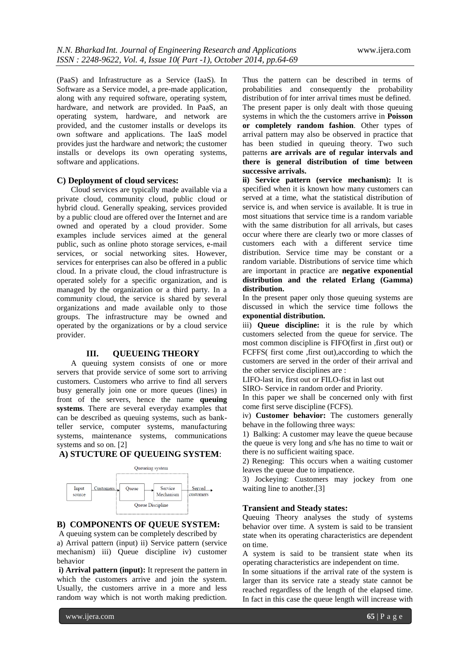(PaaS) and Infrastructure as a Service (IaaS). In Software as a Service model, a pre-made application, along with any required software, operating system, hardware, and network are provided. In PaaS, an operating system, hardware, and network are provided, and the customer installs or develops its own software and applications. The IaaS model provides just the hardware and network; the customer installs or develops its own operating systems, software and applications.

#### **C) Deployment of cloud services:**

Cloud services are typically made available via a private cloud, community cloud, public cloud or hybrid cloud. Generally speaking, services provided by a public cloud are offered over the Internet and are owned and operated by a cloud provider. Some examples include services aimed at the general public, such as online photo storage services, e-mail services, or social networking sites. However, services for enterprises can also be offered in a public cloud. In a private cloud, the cloud infrastructure is operated solely for a specific organization, and is managed by the organization or a third party. In a community cloud, the service is shared by several organizations and made available only to those groups. The infrastructure may be owned and operated by the organizations or by a cloud service provider.

#### **III. QUEUEING THEORY**

A queuing system consists of one or more servers that provide service of some sort to arriving customers. Customers who arrive to find all servers busy generally join one or more queues (lines) in front of the servers, hence the name **queuing systems**. There are several everyday examples that can be described as queuing systems, such as bankteller service, computer systems, manufacturing systems, maintenance systems, communications systems and so on. [2]

## **A) STUCTURE OF QUEUEING SYSTEM**:



## **B) COMPONENTS OF QUEUE SYSTEM:**

A queuing system can be completely described by a) Arrival pattern (input) ii) Service pattern (service mechanism) iii) Queue discipline iv) customer behavior

**i) Arrival pattern (input):** It represent the pattern in which the customers arrive and join the system. Usually, the customers arrive in a more and less random way which is not worth making prediction.

Thus the pattern can be described in terms of probabilities and consequently the probability distribution of for inter arrival times must be defined. The present paper is only dealt with those queuing systems in which the the customers arrive in **Poisson or completely random fashion**. Other types of arrival pattern may also be observed in practice that has been studied in queuing theory. Two such patterns **are arrivals are of regular intervals and there is general distribution of time between successive arrivals.**

**ii) Service pattern (service mechanism):** It is specified when it is known how many customers can served at a time, what the statistical distribution of service is, and when service is available. It is true in most situations that service time is a random variable with the same distribution for all arrivals, but cases occur where there are clearly two or more classes of customers each with a different service time distribution. Service time may be constant or a random variable. Distributions of service time which are important in practice are **negative exponential distribution and the related Erlang (Gamma) distribution.**

In the present paper only those queuing systems are discussed in which the service time follows the **exponential distribution.**

iii) **Queue discipline:** it is the rule by which customers selected from the queue for service. The most common discipline is FIFO(first in ,first out) or FCFFS( first come ,first out),according to which the customers are served in the order of their arrival and the other service disciplines are :

LIFO-last in, first out or FILO-fist in last out

SIRO- Service in random order and Priority.

In this paper we shall be concerned only with first come first serve discipline (FCFS).

iv) **Customer behavior:** The customers generally behave in the following three ways:

1) Balking: A customer may leave the queue because the queue is very long and s/he has no time to wait or there is no sufficient waiting space.

2) Reneging: This occurs when a waiting customer leaves the queue due to impatience.

3) Jockeying: Customers may jockey from one waiting line to another.[3]

#### **Transient and Steady states:**

Queuing Theory analyses the study of systems behavior over time. A system is said to be transient state when its operating characteristics are dependent on time.

A system is said to be transient state when its operating characteristics are independent on time.

In some situations if the arrival rate of the system is larger than its service rate a steady state cannot be reached regardless of the length of the elapsed time. In fact in this case the queue length will increase with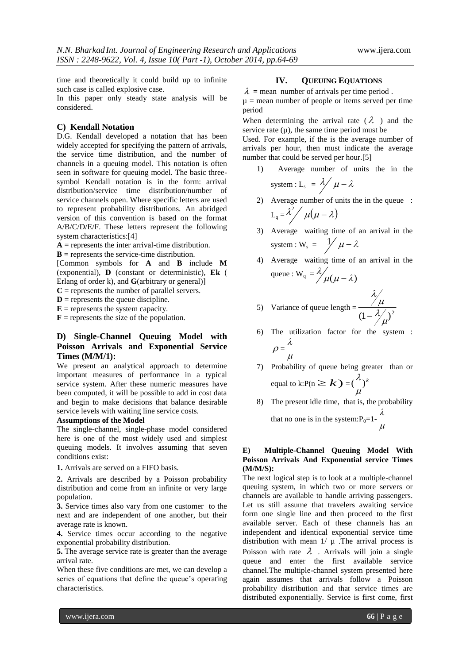time and theoretically it could build up to infinite such case is called explosive case.

In this paper only steady state analysis will be considered.

#### **C) Kendall Notation**

D.G. Kendall developed a notation that has been widely accepted for specifying the pattern of arrivals, the service time distribution, and the number of channels in a queuing model. This notation is often seen in software for queuing model. The basic threesymbol Kendall notation is in the form: arrival distribution/service time distribution/number of service channels open. Where specific letters are used to represent probability distributions. An abridged version of this convention is based on the format A/B/C/D/E/F. These letters represent the following system characteristics:[4]

 $A$  = represents the inter arrival-time distribution.

 **= represents the service-time distribution.** 

[Common symbols for **A** and **B** include **M**  (exponential), **D** (constant or deterministic), **Ek** ( Erlang of order k), and **G**(arbitrary or general)]

 $C$  = represents the number of parallel servers.

 **= represents the queue discipline.** 

 $E$  = represents the system capacity.

 **= represents the size of the population.** 

## **D) Single-Channel Queuing Model with Poisson Arrivals and Exponential Service Times (M/M/1):**

We present an analytical approach to determine important measures of performance in a typical service system. After these numeric measures have been computed, it will be possible to add in cost data and begin to make decisions that balance desirable service levels with waiting line service costs.

#### **Assumptions of the Model**

The single-channel, single-phase model considered here is one of the most widely used and simplest queuing models. It involves assuming that seven conditions exist:

**1.** Arrivals are served on a FIFO basis.

**2.** Arrivals are described by a Poisson probability distribution and come from an infinite or very large population.

**3.** Service times also vary from one customer to the next and are independent of one another, but their average rate is known.

**4.** Service times occur according to the negative exponential probability distribution.

**5.** The average service rate is greater than the average arrival rate.

When these five conditions are met, we can develop a series of equations that define the queue's operating characteristics.

#### **IV. QUEUING EQUATIONS**

 $\lambda$  = mean number of arrivals per time period.  $\mu$  = mean number of people or items served per time period

When determining the arrival rate ( $\lambda$ ) and the service rate  $(\mu)$ , the same time period must be

Used. For example, if the is the average number of arrivals per hour, then must indicate the average number that could be served per hour.[5]

1) Average number of units the in the system :  $L_s = \frac{\lambda}{\mu} - \lambda$ 

system: 
$$
L_s = \frac{\lambda}{\mu - \lambda}
$$

- 2) Average number of units the in the queue :  $L_q = \lambda^2 / \mu(\mu - \lambda)$
- 3) Average waiting time of an arrival in the system :  $W_s = \frac{1}{\mu - \lambda}$
- 4) Average waiting time of an arrival in the queue :  $W_q = \frac{\lambda}{\mu(\mu - \lambda)}$  $\lambda/\mu(\mu-$

 $\lambda$  .

- 5) Variance of queue length  $= \frac{1}{(1 \lambda/\mu)^2}$  $\lambda$  $\mu$  $\overline{a}$
- 6) The utilization factor for the system :  $\rho =$  $\mu$ λ
- 7) Probability of queue being greater than or equal to k:P(n  $\geq k$  ) =  $(\frac{\lambda}{\cdot})^k$  $\mu$ λ
- 8) The present idle time, that is, the probability that no one is in the system: $P_0=1$ - $\mu$ λ

#### **E) Multiple-Channel Queuing Model With Poisson Arrivals And Exponential service Times (M/M/S):**

The next logical step is to look at a multiple-channel queuing system, in which two or more servers or channels are available to handle arriving passengers. Let us still assume that travelers awaiting service form one single line and then proceed to the first available server. Each of these channels has an independent and identical exponential service time distribution with mean  $1/\mu$ . The arrival process is Poisson with rate  $\lambda$ . Arrivals will join a single queue and enter the first available service channel.The multiple-channel system presented here again assumes that arrivals follow a Poisson probability distribution and that service times are distributed exponentially. Service is first come, first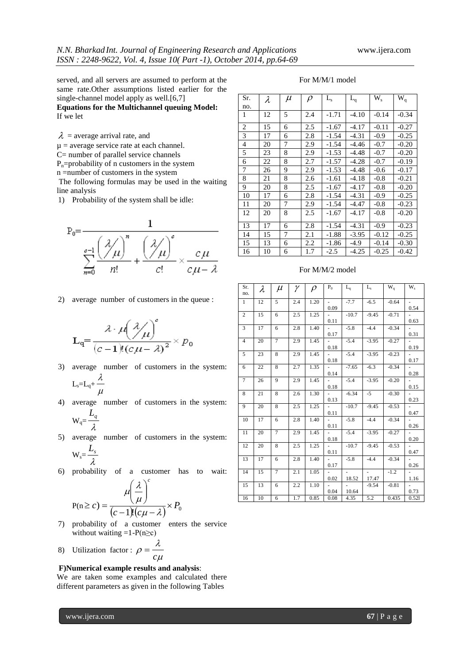served, and all servers are assumed to perform at the same rate.Other assumptions listed earlier for the single-channel model apply as well.[6,7]

**Equations for the Multichannel queuing Model:** If we let

 $\lambda$  = average arrival rate, and

 $\mu$  = average service rate at each channel.

C= number of parallel service channels

 $P_n$ =probability of n customers in the system

n =number of customers in the system

The following formulas may be used in the waiting line analysis

1) Probability of the system shall be idle:



2) average number of customers in the queue :

$$
\mathbf{L}_{\mathbf{q}} = \frac{\lambda \cdot \mu\left(\frac{\lambda}{\mu}\right)^{c}}{(c-1)!(c\mu - \lambda)^{2}} \times p_{0}
$$

- 3) average number of customers in the system:  $L_s=L_q+$  $\mu$ λ
- 4) average number of customers in the system:  $\boldsymbol{I}$

$$
W_q = \frac{Z_q}{\lambda}
$$

5) average number of customers in the system:  $W_s = \frac{L_s}{a}$ 

$$
W_s = \frac{1}{\lambda}
$$

6) probability of a customer has to wait:

$$
P(n \ge c) = \frac{\mu \left(\frac{\lambda}{\mu}\right)^c}{(c-1)!(c\mu - \lambda)} \times P_0
$$

- 7) probability of a customer enters the service without waiting  $=1-P(n \ge c)$
- 8) Utilization factor :  $\mu$ λ  $\rho = \frac{c}{c}$  $=$

#### **F)Numerical example results and analysis**:

We are taken some examples and calculated there different parameters as given in the following Tables

|  |  | For M/M/1 model |  |
|--|--|-----------------|--|
|--|--|-----------------|--|

| Sr. | $\lambda$ | $\mu$ | $\rho$ | L <sub>s</sub> | $L_q$   | $W_{s}$ | $W_q$   |
|-----|-----------|-------|--------|----------------|---------|---------|---------|
| no. |           |       |        |                |         |         |         |
| 1   | 12        | 5     | 2.4    | $-1.71$        | $-4.10$ | $-0.14$ | $-0.34$ |
| 2   | 15        | 6     | 2.5    | $-1.67$        | $-4.17$ | $-0.11$ | $-0.27$ |
| 3   | 17        | 6     | 2.8    | $-1.54$        | $-4.31$ | $-0.9$  | $-0.25$ |
| 4   | 20        | 7     | 2.9    | $-1.54$        | $-4.46$ | $-0.7$  | $-0.20$ |
| 5   | 23        | 8     | 2.9    | $-1.53$        | $-4.48$ | $-0.7$  | $-0.20$ |
| 6   | 22        | 8     | 2.7    | $-1.57$        | $-4.28$ | $-0.7$  | $-0.19$ |
| 7   | 26        | 9     | 2.9    | $-1.53$        | $-4.48$ | $-0.6$  | $-0.17$ |
| 8   | 21        | 8     | 2.6    | $-1.61$        | $-4.18$ | $-0.8$  | $-0.21$ |
| 9   | 20        | 8     | 2.5    | $-1.67$        | $-4.17$ | $-0.8$  | $-0.20$ |
| 10  | 17        | 6     | 2.8    | $-1.54$        | $-4.31$ | $-0.9$  | $-0.25$ |
| 11  | 20        | 7     | 2.9    | $-1.54$        | $-4.47$ | $-0.8$  | $-0.23$ |
| 12  | 20        | 8     | 2.5    | $-1.67$        | $-4.17$ | $-0.8$  | $-0.20$ |
| 13  | 17        | 6     | 2.8    | $-1.54$        | $-4.31$ | $-0.9$  | $-0.23$ |
| 14  | 15        | 7     | 2.1    | $-1.88$        | $-3.95$ | $-0.12$ | $-0.25$ |
| 15  | 13        | 6     | 2.2    | $-1.86$        | $-4.9$  | $-0.14$ | $-0.30$ |
| 16  | 10        | 6     | 1.7    | $-2.5$         | $-4.25$ | $-0.25$ | $-0.42$ |

#### For M/M/2 model

| Sr.            | $\lambda$ | $\mu$          | γ   | $\rho$ | $P_0$                    | $L_q$                    | $L_{\rm s}$                 | $W_q$   | W <sub>s</sub>           |
|----------------|-----------|----------------|-----|--------|--------------------------|--------------------------|-----------------------------|---------|--------------------------|
| no.            |           |                |     |        |                          |                          |                             |         |                          |
| $\mathbf{1}$   | 12        | 5              | 2.4 | 1.20   | $\overline{\phantom{a}}$ | $-7.7$                   | $-6.5$                      | $-0.64$ |                          |
|                |           |                |     |        | 0.09                     |                          |                             |         | 0.54                     |
| $\overline{c}$ | 15        | 6              | 2.5 | 1.25   |                          | $-10.7$                  | $-9.45$                     | $-0.71$ |                          |
|                |           |                |     |        | 0.11                     |                          |                             |         | 0.63                     |
| $\overline{3}$ | 17        | 6              | 2.8 | 1.40   | ۰.                       | $-5.8$                   | $-4.4$                      | $-0.34$ |                          |
|                |           |                |     |        | 0.17                     |                          |                             |         | 0.31                     |
| $\overline{4}$ | 20        | $\overline{7}$ | 2.9 | 1.45   | a.                       | $-5.4$                   | $-3.95$                     | $-0.27$ | $\sim$                   |
|                |           |                |     |        | 0.18                     |                          |                             |         | 0.19                     |
| 5              | 23        | 8              | 2.9 | 1.45   |                          | $-5.4$                   | $-3.95$                     | $-0.23$ |                          |
|                |           |                |     |        | 0.18                     |                          |                             |         | 0.17                     |
| 6              | 22        | 8              | 2.7 | 1.35   | $\frac{1}{2}$            | $-7.65$                  | $-6.3$                      | $-0.34$ |                          |
|                |           |                |     |        | 0.14                     |                          |                             |         | 0.28                     |
| $\tau$         | 26        | 9              | 2.9 | 1.45   |                          | $-5.4$                   | $-3.95$                     | $-0.20$ |                          |
|                |           |                |     |        | 0.18                     |                          |                             |         | 0.15                     |
| 8              | 21        | 8              | 2.6 | 1.30   | $\overline{\phantom{a}}$ | $-6.34$                  | $-5$                        | $-0.30$ | $\overline{\phantom{a}}$ |
|                |           |                |     |        | 0.13                     |                          |                             |         | 0.23                     |
| 9              | 20        | 8              | 2.5 | 1.25   | ä,                       | $-10.7$                  | $-9.45$                     | $-0.53$ |                          |
|                |           |                |     |        | 0.11                     |                          |                             |         | 0.47                     |
| 10             | 17        | $\overline{6}$ | 2.8 | 1.40   |                          | $-5.8$                   | $-4.4$                      | $-0.34$ |                          |
|                |           |                |     |        | 0.11                     |                          |                             |         | 0.26                     |
| 11             | 20        | $\overline{7}$ | 2.9 | 1.45   |                          | $-5.4$                   | $-3.95$                     | $-0.27$ |                          |
|                |           |                |     |        | 0.18                     |                          |                             |         | 0.20                     |
| 12             | 20        | 8              | 2.5 | 1.25   |                          | $-10.7$                  | $-9.45$                     | $-0.53$ |                          |
|                |           |                |     |        | 0.11                     |                          |                             |         | 0.47                     |
| 13             | 17        | 6              | 2.8 | 1.40   | $\overline{\phantom{a}}$ | $-5.8$                   | $-4.4$                      | $-0.34$ | $\overline{\phantom{a}}$ |
|                |           |                |     |        | 0.17                     |                          |                             |         | 0.26                     |
| 14             | 15        | $\overline{7}$ | 2.1 | 1.05   |                          | $\overline{\phantom{a}}$ | $\mathcal{L}_{\mathcal{A}}$ | $-1.2$  |                          |
|                |           |                |     |        | 0.02                     | 18.52                    | 17.47                       |         | 1.16                     |
| 15             | 13        | 6              | 2.2 | 1.10   |                          |                          | $-9.54$                     | $-0.81$ |                          |
|                |           |                |     |        | 0.04                     | 10.64                    |                             |         | 0.73                     |
| 16             | 10        | 6              | 1.7 | 0.85   | 0.08                     | 4.35                     | 5.2                         | 0.435   | 0.521                    |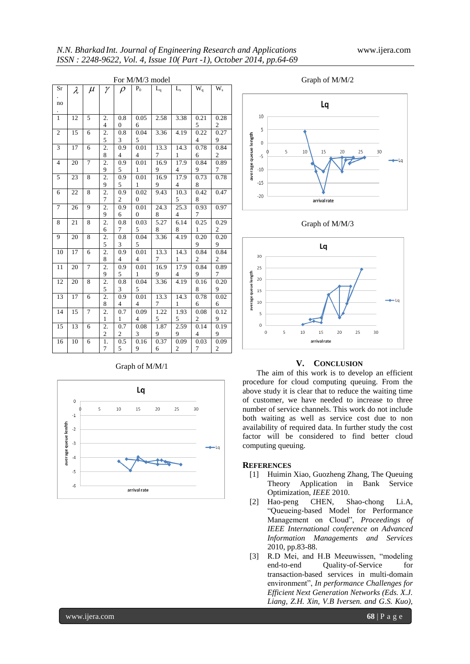| For M/M/3 model |                 |                |                  |                          |                          |                |                         |                          |                         |
|-----------------|-----------------|----------------|------------------|--------------------------|--------------------------|----------------|-------------------------|--------------------------|-------------------------|
| Sr              | $\lambda$       | $\mu$          | $\gamma$         | $\rho$                   | $P_0$                    | $L_q$          | $L_{\rm s}$             | $\overline{W_q}$         | $W_{s}$                 |
|                 |                 |                |                  |                          |                          |                |                         |                          |                         |
| no              |                 |                |                  |                          |                          |                |                         |                          |                         |
|                 |                 |                |                  |                          |                          |                |                         |                          |                         |
| $\mathbf{1}$    | 12              | 5              | 2.               | 0.8                      | 0.05                     | 2.58           | 3.38                    | 0.21                     | 0.28                    |
|                 |                 |                | 4                | $\boldsymbol{0}$         | 6                        |                |                         | 5                        | $\boldsymbol{2}$        |
| $\overline{2}$  | 15              | 6              | $\overline{2}$ . | 0.8                      | 0.04                     | 3.36           | 4.19                    | 0.22                     | 0.27                    |
|                 |                 |                | $\frac{5}{2}$    | 3                        | 5                        |                |                         | $\overline{\mathcal{L}}$ | 9                       |
| $\mathfrak z$   | 17              | $\epsilon$     |                  | 0.9                      | 0.01                     | 13.3           | 14.3                    | 0.78                     | 0.84                    |
|                 |                 |                | $\frac{8}{2}$    | $\overline{\mathcal{A}}$ | 4                        | 7              | $\mathbf{1}$            | 6                        | $\boldsymbol{2}$        |
| $\overline{4}$  | 20              | 7              |                  | 0.9                      | 0.01                     | 16.9           | 17.9                    | 0.84                     | 0.89                    |
|                 |                 |                | $\frac{9}{2}$    | 5                        | $\mathbf{1}$             | 9              | 4                       | 9                        | $\boldsymbol{7}$        |
| 5               | 23              | $\,8\,$        |                  | 0.9                      | 0.01                     | 16.9           | 17.9                    | 0.73                     | 0.78                    |
|                 |                 |                | $\frac{9}{2}$    | 5                        | $\mathbf{1}$             | 9              | 4                       | $\boldsymbol{8}$         |                         |
| $\overline{6}$  | 22              | $\overline{8}$ |                  | 0.9                      | 0.02                     | 9.43           | 10.3                    | 0.42                     | 0.47                    |
|                 |                 |                | $\frac{7}{2}$    | $\overline{\mathbf{c}}$  | $\boldsymbol{0}$         |                | 5                       | $\boldsymbol{8}$         |                         |
| $\overline{7}$  | $\overline{26}$ | $\overline{9}$ |                  | 0.9                      | 0.01                     | 24.3           | 25.3                    | 0.93                     | 0.97                    |
|                 |                 |                |                  | 6                        | $\boldsymbol{0}$         | 8              | $\overline{\mathbf{4}}$ | $\tau$                   |                         |
| 8               | 21              | 8              | $\frac{9}{2}$    | 0.8                      | 0.03                     | 5.27           | 6.14                    | 0.25                     | 0.29                    |
|                 |                 |                | $\overline{6}$   | $\tau$                   | 5                        | 8              | 8                       | $\mathbf{1}$             | $\overline{\mathbf{c}}$ |
| $\overline{9}$  | 20              | 8              | 2.               | 0.8                      | 0.04                     | 3.36           | 4.19                    | 0.20                     | 0.20                    |
|                 |                 |                | $\overline{5}$   | 3                        | 5                        |                |                         | 9                        | 9                       |
| 10              | $\overline{17}$ | $\overline{6}$ | $\overline{2}$ . | 0.9                      | 0.01                     | 13.3           | 14.3                    | 0.84                     | 0.84                    |
|                 |                 |                | 8                | $\overline{4}$           | $\overline{\mathcal{A}}$ | 7              | $\mathbf{1}$            | $\boldsymbol{2}$         | $\overline{\mathbf{c}}$ |
| 11              | 20              | 7              | $\overline{2}$ . | 0.9                      | 0.01                     | 16.9           | 17.9                    | 0.84                     | 0.89                    |
|                 |                 |                | $\overline{9}$   | 5                        | $\mathbf{1}$             | 9              | $\overline{4}$          | 9                        | $\boldsymbol{7}$        |
| 12              | 20              | 8              | $\overline{2}$ . | 0.8                      | 0.04                     | 3.36           | 4.19                    | 0.16                     | 0.20                    |
|                 |                 |                | $\overline{5}$   | 3                        | 5                        |                |                         | 8                        | 9                       |
| 13              | $\overline{17}$ | $\overline{6}$ | $\overline{2}$ . | 0.9                      | 0.01                     | 13.3           | 14.3                    | 0.78                     | 0.02                    |
|                 |                 |                | $\frac{8}{2}$    | 4                        | 4                        | 7              | $\mathbf{1}$            | 6                        | 6                       |
| $\overline{14}$ | 15              | $\overline{7}$ |                  | 0.7                      | 0.09                     | 1.22           | 1.93                    | 0.08                     | 0.12                    |
|                 |                 |                | $\overline{1}$   | $\mathbf{1}$             | 4                        | $\overline{5}$ | 5                       | $\overline{c}$           | 9                       |
| 15              | 13              | $\overline{6}$ | 2.               | 0.7                      | 0.08                     | 1.87           | 2.59                    | 0.14                     | 0.19                    |
|                 |                 |                | $\overline{2}$   | $\overline{2}$           | $\overline{\mathbf{3}}$  | 9              | 9                       | 4                        | $\overline{9}$          |
| 16              | $\overline{10}$ | $\overline{6}$ | $\overline{1}$ . | 0.5                      | 0.16                     | 0.37           | 0.09                    | 0.03                     | 0.09                    |
|                 |                 |                | $\overline{7}$   | 5                        | 9                        | 6              | $\overline{2}$          | $\boldsymbol{7}$         | $\boldsymbol{2}$        |

### Graph of M/M/1











#### **V. CONCLUSION**

The aim of this work is to develop an efficient procedure for cloud computing queuing. From the above study it is clear that to reduce the waiting time of customer, we have needed to increase to three number of service channels. This work do not include both waiting as well as service cost due to non availability of required data. In further study the cost factor will be considered to find better cloud computing queuing.

#### **REFERENCES**

- [1] Huimin Xiao, Guozheng Zhang, The Queuing Theory Application in Bank Service Optimization, *IEEE* 2010.
- [2] Hao-peng CHEN, Shao-chong Li.A, "Queueing-based Model for Performance Management on Cloud", *Proceedings of IEEE International conference on Advanced Information Managements and Services* 2010, pp.83-88.
- [3] R.D Mei, and H.B Meeuwissen, "modeling end-to-end Quality-of-Service for transaction-based services in multi-domain environment", *In performance Challenges for Efficient Next Generation Networks (Eds. X.J. Liang, Z.H. Xin, V.B Iversen. and G.S. Kuo),*